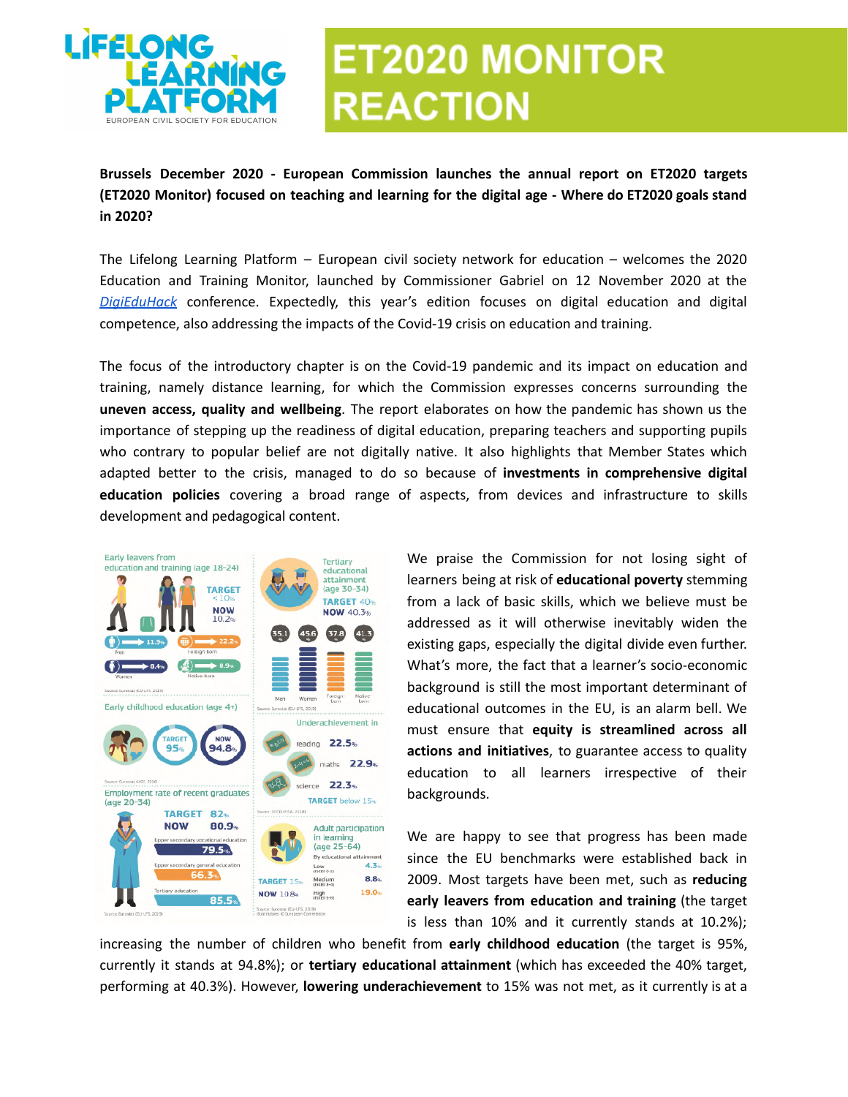

## **ET2020 MONITOR REACTION**

**Brussels December 2020 - European Commission launches the annual report on ET2020 targets (ET2020 Monitor) focused on teaching and learning for the digital age - Where do ET2020 goals stand in 2020?**

The Lifelong Learning Platform – European civil society network for education – welcomes the 2020 Education and Training Monitor, launched by Commissioner Gabriel on 12 November 2020 at the *[DigiEduHack](https://ec.europa.eu/education/news/digieduhack-2020_en)* conference. Expectedly, this year's edition focuses on digital education and digital competence, also addressing the impacts of the Covid-19 crisis on education and training.

The focus of the introductory chapter is on the Covid-19 pandemic and its impact on education and training, namely distance learning, for which the Commission expresses concerns surrounding the **uneven access, quality and wellbeing**. The report elaborates on how the pandemic has shown us the importance of stepping up the readiness of digital education, preparing teachers and supporting pupils who contrary to popular belief are not digitally native. It also highlights that Member States which adapted better to the crisis, managed to do so because of **investments in comprehensive digital education policies** covering a broad range of aspects, from devices and infrastructure to skills development and pedagogical content.



We praise the Commission for not losing sight of learners being at risk of **educational poverty** stemming from a lack of basic skills, which we believe must be addressed as it will otherwise inevitably widen the existing gaps, especially the digital divide even further. What's more, the fact that a learner's socio-economic background is still the most important determinant of educational outcomes in the EU, is an alarm bell. We must ensure that **equity is streamlined across all actions and initiatives**, to guarantee access to quality education to all learners irrespective of their backgrounds.

We are happy to see that progress has been made since the EU benchmarks were established back in 2009. Most targets have been met, such as **reducing early leavers from education and training** (the target is less than 10% and it currently stands at 10.2%);

increasing the number of children who benefit from **early childhood education** (the target is 95%, currently it stands at 94.8%); or **tertiary educational attainment** (which has exceeded the 40% target, performing at 40.3%). However, **lowering underachievement** to 15% was not met, as it currently is at a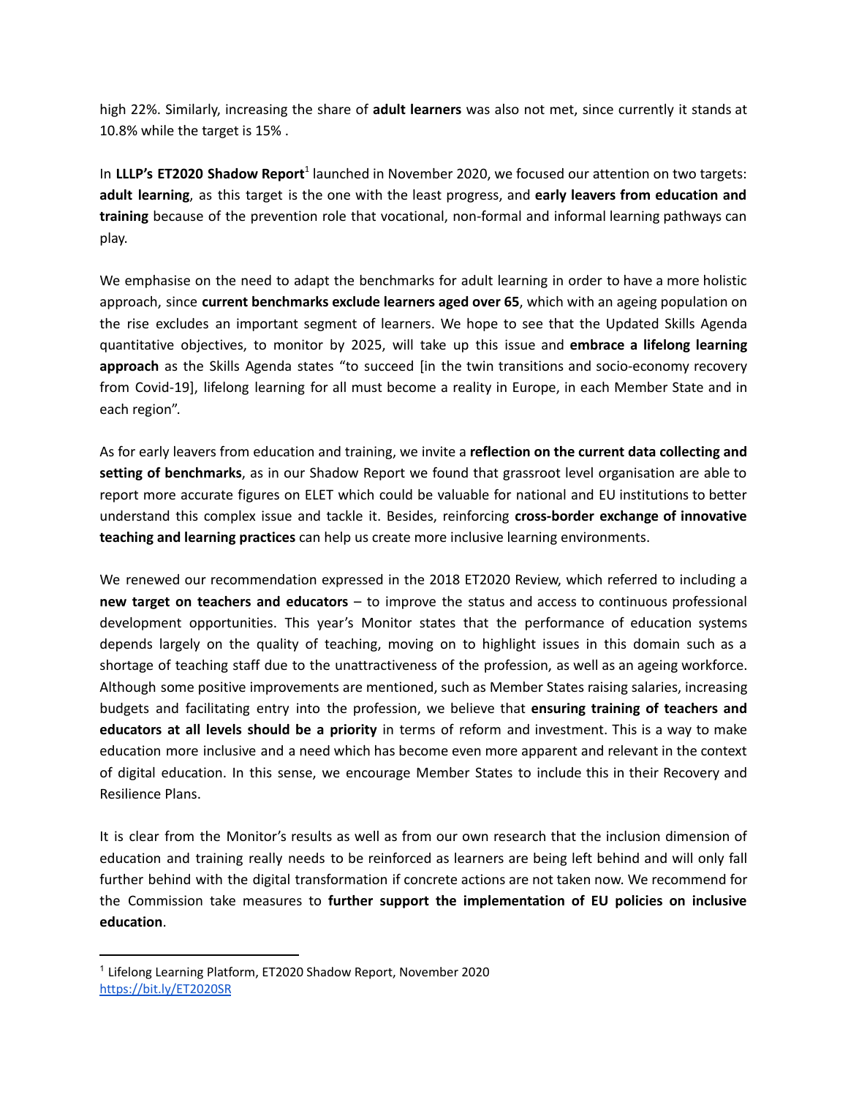high 22%. Similarly, increasing the share of **adult learners** was also not met, since currently it stands at 10.8% while the target is 15% .

In LLLP's ET2020 Shadow Report<sup>1</sup> launched in November 2020, we focused our attention on two targets: **adult learning**, as this target is the one with the least progress, and **early leavers from education and training** because of the prevention role that vocational, non-formal and informal learning pathways can play.

We emphasise on the need to adapt the benchmarks for adult learning in order to have a more holistic approach, since **current benchmarks exclude learners aged over 65**, which with an ageing population on the rise excludes an important segment of learners. We hope to see that the Updated Skills Agenda quantitative objectives, to monitor by 2025, will take up this issue and **embrace a lifelong learning approach** as the Skills Agenda states "to succeed [in the twin transitions and socio-economy recovery from Covid-19], lifelong learning for all must become a reality in Europe, in each Member State and in each region".

As for early leavers from education and training, we invite a **reflection on the current data collecting and setting of benchmarks**, as in our Shadow Report we found that grassroot level organisation are able to report more accurate figures on ELET which could be valuable for national and EU institutions to better understand this complex issue and tackle it. Besides, reinforcing **cross-border exchange of innovative teaching and learning practices** can help us create more inclusive learning environments.

We renewed our recommendation expressed in the 2018 ET2020 Review, which referred to including a **new target on teachers and educators** – to improve the status and access to continuous professional development opportunities. This year's Monitor states that the performance of education systems depends largely on the quality of teaching, moving on to highlight issues in this domain such as a shortage of teaching staff due to the unattractiveness of the profession, as well as an ageing workforce. Although some positive improvements are mentioned, such as Member States raising salaries, increasing budgets and facilitating entry into the profession, we believe that **ensuring training of teachers and educators at all levels should be a priority** in terms of reform and investment. This is a way to make education more inclusive and a need which has become even more apparent and relevant in the context of digital education. In this sense, we encourage Member States to include this in their Recovery and Resilience Plans.

It is clear from the Monitor's results as well as from our own research that the inclusion dimension of education and training really needs to be reinforced as learners are being left behind and will only fall further behind with the digital transformation if concrete actions are not taken now. We recommend for the Commission take measures to **further support the implementation of EU policies on inclusive education**.

<sup>1</sup> Lifelong Learning Platform, ET2020 Shadow Report, November 2020 <https://bit.ly/ET2020SR>